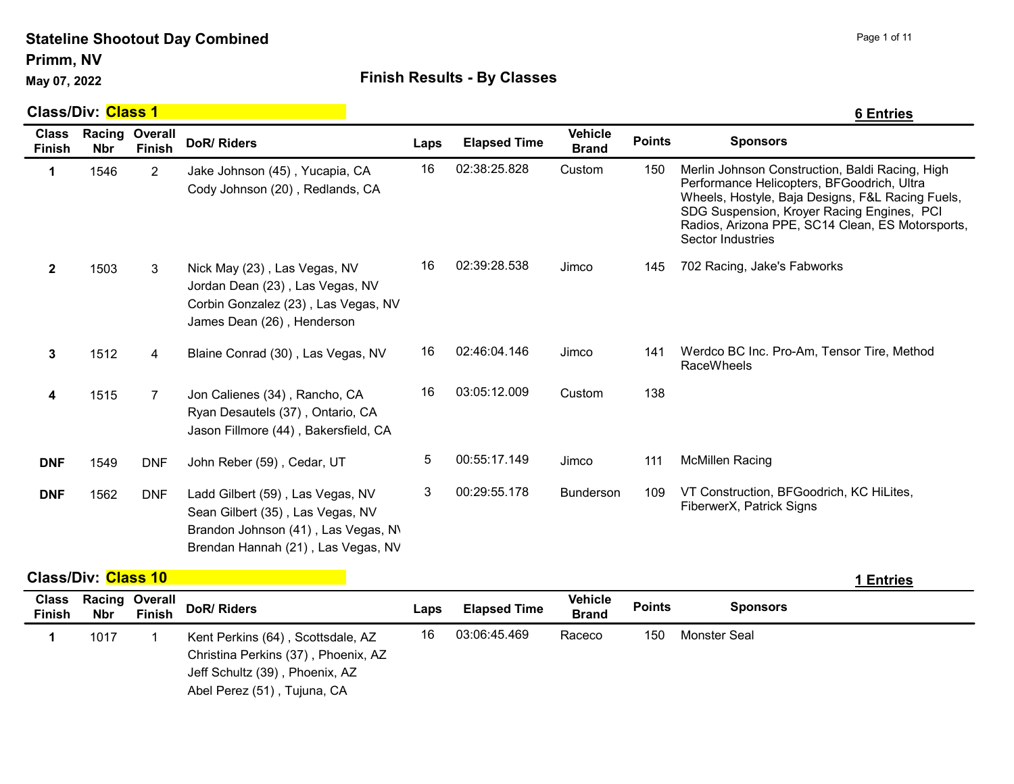Primm, NV

## May 07, 2022 **Accord Pay 10 Accord Finish Results - By Classes**

|                               | <b>Class/Div: Class 1</b> |                          |                                                                                                                                                   |      |                     |                                |               | <b>6 Entries</b>                                                                                                                                                                                                                                                         |
|-------------------------------|---------------------------|--------------------------|---------------------------------------------------------------------------------------------------------------------------------------------------|------|---------------------|--------------------------------|---------------|--------------------------------------------------------------------------------------------------------------------------------------------------------------------------------------------------------------------------------------------------------------------------|
| <b>Class</b><br><b>Finish</b> | Racing<br><b>Nbr</b>      | Overall<br><b>Finish</b> | <b>DoR/ Riders</b>                                                                                                                                | Laps | <b>Elapsed Time</b> | <b>Vehicle</b><br><b>Brand</b> | <b>Points</b> | <b>Sponsors</b>                                                                                                                                                                                                                                                          |
| 1                             | 1546                      | $\overline{c}$           | Jake Johnson (45), Yucapia, CA<br>Cody Johnson (20), Redlands, CA                                                                                 | 16   | 02:38:25.828        | Custom                         | 150           | Merlin Johnson Construction, Baldi Racing, High<br>Performance Helicopters, BFGoodrich, Ultra<br>Wheels, Hostyle, Baja Designs, F&L Racing Fuels,<br>SDG Suspension, Kroyer Racing Engines, PCI<br>Radios, Arizona PPE, SC14 Clean, ES Motorsports,<br>Sector Industries |
| $\mathbf{2}$                  | 1503                      | 3                        | Nick May (23), Las Vegas, NV<br>Jordan Dean (23), Las Vegas, NV<br>Corbin Gonzalez (23), Las Vegas, NV<br>James Dean (26), Henderson              | 16   | 02:39:28.538        | Jimco                          | 145           | 702 Racing, Jake's Fabworks                                                                                                                                                                                                                                              |
| $\mathbf{3}$                  | 1512                      | 4                        | Blaine Conrad (30), Las Vegas, NV                                                                                                                 | 16   | 02:46:04.146        | Jimco                          | 141           | Werdco BC Inc. Pro-Am, Tensor Tire, Method<br><b>RaceWheels</b>                                                                                                                                                                                                          |
| 4                             | 1515                      | $\overline{7}$           | Jon Calienes (34), Rancho, CA<br>Ryan Desautels (37), Ontario, CA<br>Jason Fillmore (44), Bakersfield, CA                                         | 16   | 03:05:12.009        | Custom                         | 138           |                                                                                                                                                                                                                                                                          |
| <b>DNF</b>                    | 1549                      | <b>DNF</b>               | John Reber (59), Cedar, UT                                                                                                                        | 5    | 00:55:17.149        | Jimco                          | 111           | <b>McMillen Racing</b>                                                                                                                                                                                                                                                   |
| <b>DNF</b>                    | 1562                      | <b>DNF</b>               | Ladd Gilbert (59), Las Vegas, NV<br>Sean Gilbert (35), Las Vegas, NV<br>Brandon Johnson (41), Las Vegas, N\<br>Brendan Hannah (21), Las Vegas, NV | 3    | 00:29:55.178        | <b>Bunderson</b>               | 109           | VT Construction, BFGoodrich, KC HiLites,<br>FiberwerX, Patrick Signs                                                                                                                                                                                                     |

Class/Div: Class 10 **1 Entries 1 Entries 1 Entries 1 Entries** 

| Entries |  |
|---------|--|
|         |  |

| <b>Class</b><br><b>Finish</b> | <b>Nbr</b> | <b>Racing Overall</b><br><b>Finish</b> | DoR/ Riders                                                                                                                               | Laps | <b>Elapsed Time</b> | <b>Vehicle</b><br><b>Brand</b> | <b>Points</b> | <b>Sponsors</b> |
|-------------------------------|------------|----------------------------------------|-------------------------------------------------------------------------------------------------------------------------------------------|------|---------------------|--------------------------------|---------------|-----------------|
|                               | 1017       |                                        | Kent Perkins (64), Scottsdale, AZ<br>Christina Perkins (37), Phoenix, AZ<br>Jeff Schultz (39), Phoenix, AZ<br>Abel Perez (51), Tujuna, CA | 16   | 03:06:45.469        | Raceco                         | 150           | Monster Seal    |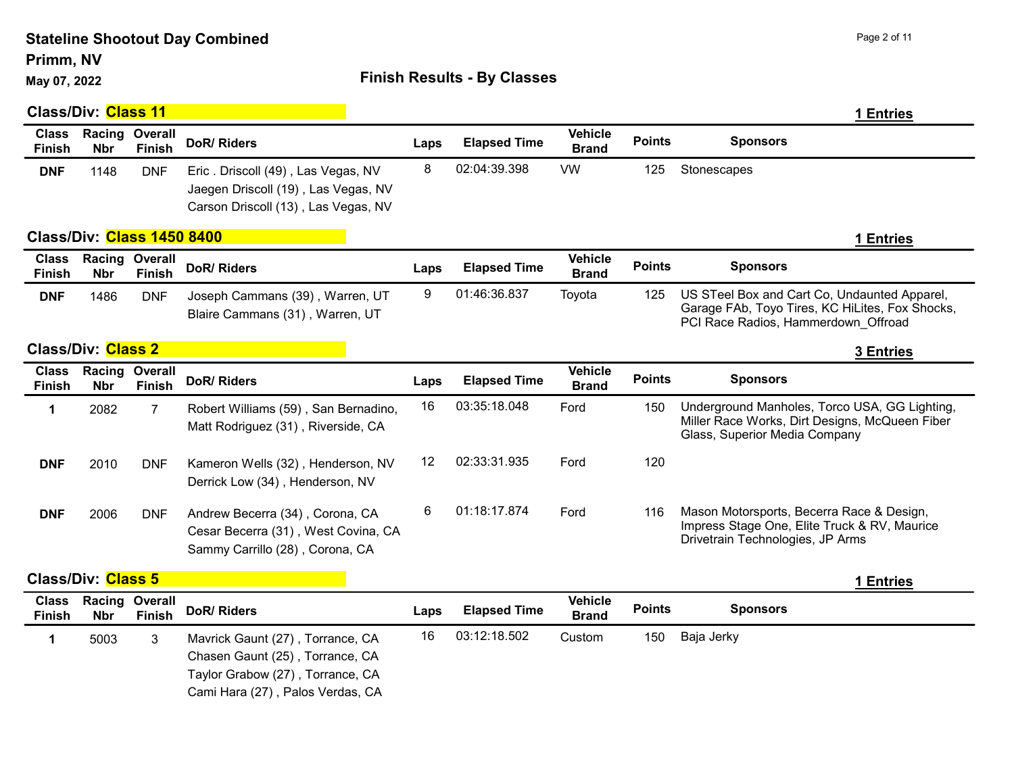Primm, NV

## May 07, 2022 **Accord Pay 10 Accord Point Contract Contract Contract Contract Contract Contract Contract Contract Contract Contract Contract Contract Contract Contract Contract Contract Contract Contract Contract Contract C**

|                               | <b>Class/Div: Class 11</b> |                          |                                                                                                                                             |      |                     |                                |               | 1 Entries                                                                                                                              |
|-------------------------------|----------------------------|--------------------------|---------------------------------------------------------------------------------------------------------------------------------------------|------|---------------------|--------------------------------|---------------|----------------------------------------------------------------------------------------------------------------------------------------|
| <b>Class</b><br><b>Finish</b> | Racing<br><b>Nbr</b>       | Overall<br><b>Finish</b> | <b>DoR/ Riders</b>                                                                                                                          | Laps | <b>Elapsed Time</b> | <b>Vehicle</b><br><b>Brand</b> | <b>Points</b> | <b>Sponsors</b>                                                                                                                        |
| <b>DNF</b>                    | 1148                       | <b>DNF</b>               | Eric. Driscoll (49), Las Vegas, NV<br>Jaegen Driscoll (19), Las Vegas, NV<br>Carson Driscoll (13), Las Vegas, NV                            | 8    | 02:04:39.398        | <b>VW</b>                      | 125           | Stonescapes                                                                                                                            |
|                               | Class/Div: Class 1450 8400 |                          |                                                                                                                                             |      |                     |                                |               | 1 Entries                                                                                                                              |
| <b>Class</b><br><b>Finish</b> | Racing<br><b>Nbr</b>       | Overall<br><b>Finish</b> | <b>DoR/ Riders</b>                                                                                                                          | Laps | <b>Elapsed Time</b> | <b>Vehicle</b><br><b>Brand</b> | <b>Points</b> | <b>Sponsors</b>                                                                                                                        |
| <b>DNF</b>                    | 1486                       | <b>DNF</b>               | Joseph Cammans (39), Warren, UT<br>Blaire Cammans (31), Warren, UT                                                                          | 9    | 01:46:36.837        | Toyota                         | 125           | US STeel Box and Cart Co, Undaunted Apparel,<br>Garage FAb, Toyo Tires, KC HiLites, Fox Shocks,<br>PCI Race Radios, Hammerdown_Offroad |
|                               | <b>Class/Div: Class 2</b>  |                          |                                                                                                                                             |      |                     |                                |               | <b>3 Entries</b>                                                                                                                       |
| <b>Class</b><br><b>Finish</b> | Racing<br><b>Nbr</b>       | Overall<br><b>Finish</b> | <b>DoR/ Riders</b>                                                                                                                          | Laps | <b>Elapsed Time</b> | <b>Vehicle</b><br><b>Brand</b> | <b>Points</b> | <b>Sponsors</b>                                                                                                                        |
| 1                             | 2082                       | $\overline{7}$           | Robert Williams (59), San Bernadino,<br>Matt Rodriguez (31), Riverside, CA                                                                  | 16   | 03:35:18.048        | Ford                           | 150           | Underground Manholes, Torco USA, GG Lighting,<br>Miller Race Works, Dirt Designs, McQueen Fiber<br>Glass, Superior Media Company       |
| <b>DNF</b>                    | 2010                       | <b>DNF</b>               | Kameron Wells (32), Henderson, NV<br>Derrick Low (34), Henderson, NV                                                                        | 12   | 02:33:31.935        | Ford                           | 120           |                                                                                                                                        |
| <b>DNF</b>                    | 2006                       | <b>DNF</b>               | Andrew Becerra (34), Corona, CA<br>Cesar Becerra (31), West Covina, CA<br>Sammy Carrillo (28), Corona, CA                                   | 6    | 01:18:17.874        | Ford                           | 116           | Mason Motorsports, Becerra Race & Design,<br>Impress Stage One, Elite Truck & RV, Maurice<br>Drivetrain Technologies, JP Arms          |
|                               | <b>Class/Div: Class 5</b>  |                          |                                                                                                                                             |      |                     |                                |               | 1 Entries                                                                                                                              |
| <b>Class</b><br><b>Finish</b> | Racing<br><b>Nbr</b>       | Overall<br><b>Finish</b> | <b>DoR/Riders</b>                                                                                                                           | Laps | <b>Elapsed Time</b> | <b>Vehicle</b><br><b>Brand</b> | <b>Points</b> | <b>Sponsors</b>                                                                                                                        |
| 1                             | 5003                       | 3                        | Mavrick Gaunt (27), Torrance, CA<br>Chasen Gaunt (25), Torrance, CA<br>Taylor Grabow (27), Torrance, CA<br>Cami Hara (27), Palos Verdas, CA | 16   | 03:12:18.502        | Custom                         | 150           | Baja Jerky                                                                                                                             |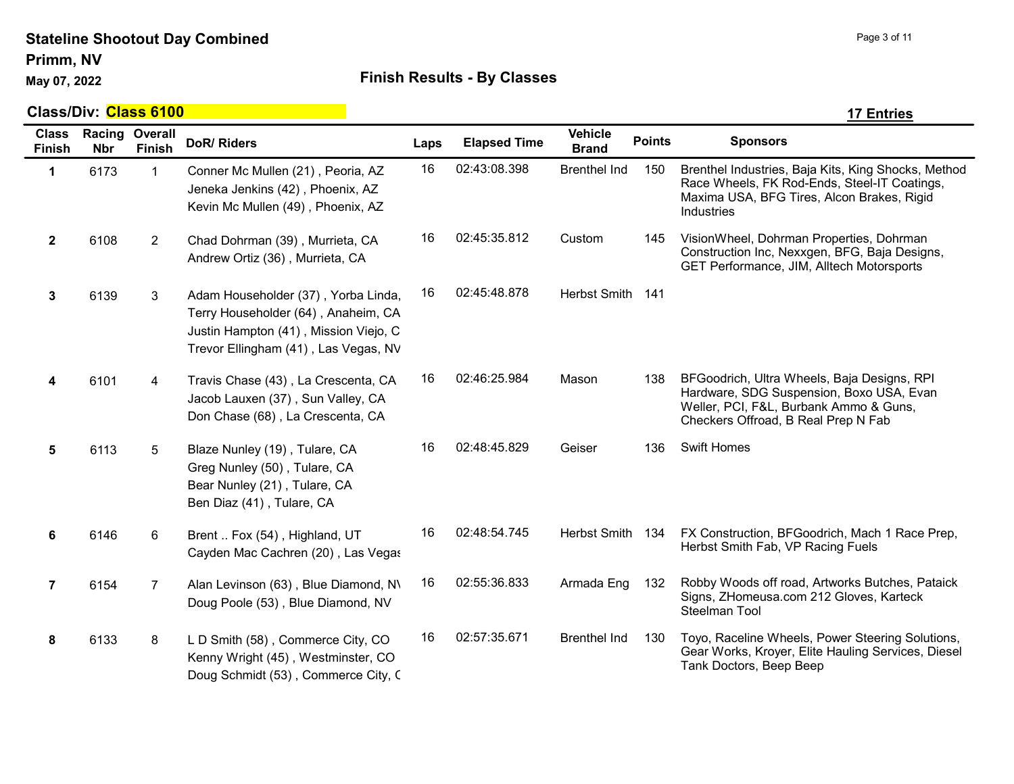Primm, NV

## May 07, 2022 **All Accords** Einish Results - By Classes

|                               | Class/Div: Class 6100<br><b>17 Entries</b> |                          |                                                                                                                                                             |      |                     |                                |               |                                                                                                                                                                          |  |  |  |  |
|-------------------------------|--------------------------------------------|--------------------------|-------------------------------------------------------------------------------------------------------------------------------------------------------------|------|---------------------|--------------------------------|---------------|--------------------------------------------------------------------------------------------------------------------------------------------------------------------------|--|--|--|--|
| <b>Class</b><br><b>Finish</b> | Racing<br><b>Nbr</b>                       | Overall<br><b>Finish</b> | <b>DoR/ Riders</b>                                                                                                                                          | Laps | <b>Elapsed Time</b> | <b>Vehicle</b><br><b>Brand</b> | <b>Points</b> | <b>Sponsors</b>                                                                                                                                                          |  |  |  |  |
| $\mathbf 1$                   | 6173                                       | $\mathbf{1}$             | Conner Mc Mullen (21), Peoria, AZ<br>Jeneka Jenkins (42), Phoenix, AZ<br>Kevin Mc Mullen (49), Phoenix, AZ                                                  | 16   | 02:43:08.398        | <b>Brenthel Ind</b>            | 150           | Brenthel Industries, Baja Kits, King Shocks, Method<br>Race Wheels, FK Rod-Ends, Steel-IT Coatings,<br>Maxima USA, BFG Tires, Alcon Brakes, Rigid<br>Industries          |  |  |  |  |
| $\overline{2}$                | 6108                                       | $\overline{2}$           | Chad Dohrman (39), Murrieta, CA<br>Andrew Ortiz (36), Murrieta, CA                                                                                          | 16   | 02:45:35.812        | Custom                         | 145           | VisionWheel, Dohrman Properties, Dohrman<br>Construction Inc, Nexxgen, BFG, Baja Designs,<br>GET Performance, JIM, Alltech Motorsports                                   |  |  |  |  |
| 3                             | 6139                                       | 3                        | Adam Householder (37), Yorba Linda,<br>Terry Householder (64), Anaheim, CA<br>Justin Hampton (41), Mission Viejo, C<br>Trevor Ellingham (41), Las Vegas, NV | 16   | 02:45:48.878        | Herbst Smith 141               |               |                                                                                                                                                                          |  |  |  |  |
| 4                             | 6101                                       | $\overline{4}$           | Travis Chase (43), La Crescenta, CA<br>Jacob Lauxen (37), Sun Valley, CA<br>Don Chase (68), La Crescenta, CA                                                | 16   | 02:46:25.984        | Mason                          | 138           | BFGoodrich, Ultra Wheels, Baja Designs, RPI<br>Hardware, SDG Suspension, Boxo USA, Evan<br>Weller, PCI, F&L, Burbank Ammo & Guns,<br>Checkers Offroad, B Real Prep N Fab |  |  |  |  |
| $\sqrt{5}$                    | 6113                                       | 5                        | Blaze Nunley (19), Tulare, CA<br>Greg Nunley (50), Tulare, CA<br>Bear Nunley (21), Tulare, CA<br>Ben Diaz (41), Tulare, CA                                  | 16   | 02:48:45.829        | Geiser                         | 136           | <b>Swift Homes</b>                                                                                                                                                       |  |  |  |  |
| 6                             | 6146                                       | 6                        | Brent  Fox (54), Highland, UT<br>Cayden Mac Cachren (20), Las Vegas                                                                                         | 16   | 02:48:54.745        | Herbst Smith 134               |               | FX Construction, BFGoodrich, Mach 1 Race Prep,<br>Herbst Smith Fab, VP Racing Fuels                                                                                      |  |  |  |  |
| $\overline{7}$                | 6154                                       | $\overline{7}$           | Alan Levinson (63), Blue Diamond, N\<br>Doug Poole (53), Blue Diamond, NV                                                                                   | 16   | 02:55:36.833        | Armada Eng                     | 132           | Robby Woods off road, Artworks Butches, Pataick<br>Signs, ZHomeusa.com 212 Gloves, Karteck<br>Steelman Tool                                                              |  |  |  |  |
| 8                             | 6133                                       | 8                        | L D Smith (58), Commerce City, CO<br>Kenny Wright (45), Westminster, CO<br>Doug Schmidt (53), Commerce City, C                                              | 16   | 02:57:35.671        | <b>Brenthel Ind</b>            | 130           | Toyo, Raceline Wheels, Power Steering Solutions,<br>Gear Works, Kroyer, Elite Hauling Services, Diesel<br>Tank Doctors, Beep Beep                                        |  |  |  |  |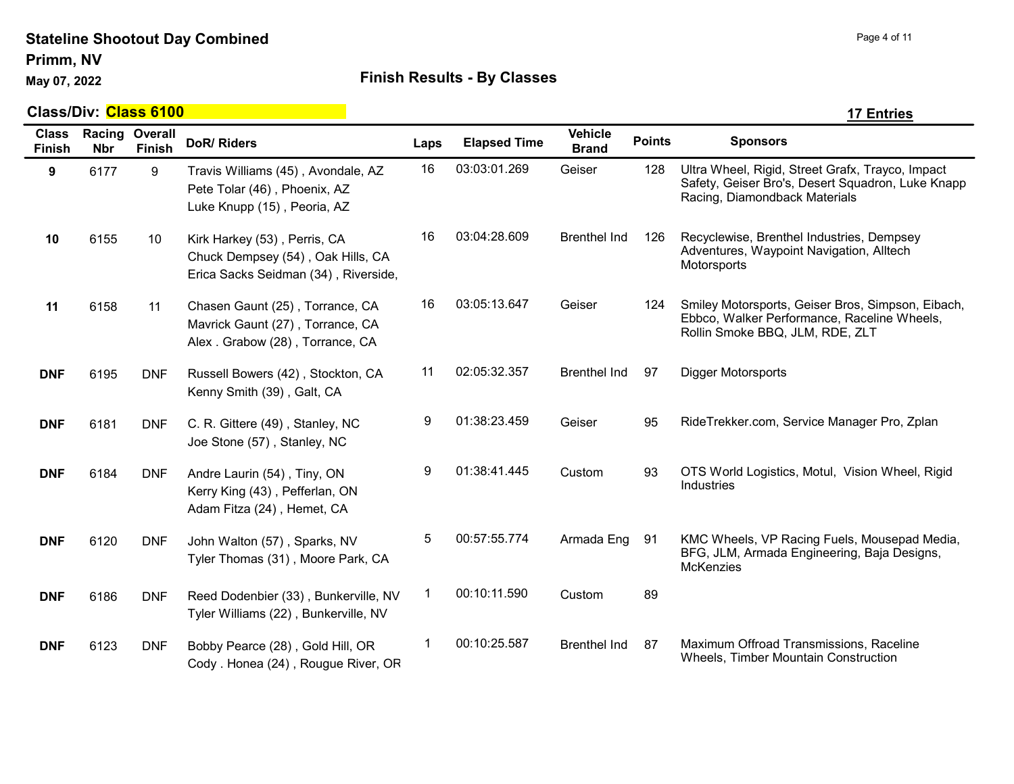Primm, NV

## May 07, 2022 **Accord Part 20 Telepolis Controller Controller Controller Controller Controller Controller Controller Controller Controller Controller Controller Controller Controller Controller Controller Controller Control**

|                               | Class/Div: <mark>Class 6100</mark> |               |                                                                                                           |      |                     |                                |               | <b>17 Entries</b>                                                                                                                      |
|-------------------------------|------------------------------------|---------------|-----------------------------------------------------------------------------------------------------------|------|---------------------|--------------------------------|---------------|----------------------------------------------------------------------------------------------------------------------------------------|
| <b>Class</b><br><b>Finish</b> | Racing Overall<br><b>Nbr</b>       | <b>Finish</b> | <b>DoR/ Riders</b>                                                                                        | Laps | <b>Elapsed Time</b> | <b>Vehicle</b><br><b>Brand</b> | <b>Points</b> | <b>Sponsors</b>                                                                                                                        |
| 9                             | 6177                               | 9             | Travis Williams (45), Avondale, AZ<br>Pete Tolar (46), Phoenix, AZ<br>Luke Knupp (15), Peoria, AZ         | 16   | 03:03:01.269        | Geiser                         | 128           | Ultra Wheel, Rigid, Street Grafx, Trayco, Impact<br>Safety, Geiser Bro's, Desert Squadron, Luke Knapp<br>Racing, Diamondback Materials |
| 10                            | 6155                               | 10            | Kirk Harkey (53), Perris, CA<br>Chuck Dempsey (54), Oak Hills, CA<br>Erica Sacks Seidman (34), Riverside, | 16   | 03:04:28.609        | <b>Brenthel Ind</b>            | 126           | Recyclewise, Brenthel Industries, Dempsey<br>Adventures, Waypoint Navigation, Alltech<br>Motorsports                                   |
| 11                            | 6158                               | 11            | Chasen Gaunt (25), Torrance, CA<br>Mavrick Gaunt (27), Torrance, CA<br>Alex. Grabow (28), Torrance, CA    | 16   | 03:05:13.647        | Geiser                         | 124           | Smiley Motorsports, Geiser Bros, Simpson, Eibach,<br>Ebbco, Walker Performance, Raceline Wheels,<br>Rollin Smoke BBQ, JLM, RDE, ZLT    |
| <b>DNF</b>                    | 6195                               | <b>DNF</b>    | Russell Bowers (42), Stockton, CA<br>Kenny Smith (39), Galt, CA                                           | 11   | 02:05:32.357        | <b>Brenthel Ind</b>            | 97            | Digger Motorsports                                                                                                                     |
| <b>DNF</b>                    | 6181                               | <b>DNF</b>    | C. R. Gittere (49), Stanley, NC<br>Joe Stone (57), Stanley, NC                                            | 9    | 01:38:23.459        | Geiser                         | 95            | RideTrekker.com, Service Manager Pro, Zplan                                                                                            |
| <b>DNF</b>                    | 6184                               | <b>DNF</b>    | Andre Laurin (54), Tiny, ON<br>Kerry King (43), Pefferlan, ON<br>Adam Fitza (24), Hemet, CA               | 9    | 01:38:41.445        | Custom                         | 93            | OTS World Logistics, Motul, Vision Wheel, Rigid<br>Industries                                                                          |
| <b>DNF</b>                    | 6120                               | <b>DNF</b>    | John Walton (57), Sparks, NV<br>Tyler Thomas (31), Moore Park, CA                                         | 5    | 00:57:55.774        | Armada Eng                     | 91            | KMC Wheels, VP Racing Fuels, Mousepad Media,<br>BFG, JLM, Armada Engineering, Baja Designs,<br><b>McKenzies</b>                        |
| <b>DNF</b>                    | 6186                               | <b>DNF</b>    | Reed Dodenbier (33), Bunkerville, NV<br>Tyler Williams (22), Bunkerville, NV                              | -1   | 00:10:11.590        | Custom                         | 89            |                                                                                                                                        |
| <b>DNF</b>                    | 6123                               | <b>DNF</b>    | Bobby Pearce (28), Gold Hill, OR<br>Cody . Honea (24), Rougue River, OR                                   |      | 00:10:25.587        | <b>Brenthel Ind</b>            | 87            | Maximum Offroad Transmissions, Raceline<br>Wheels, Timber Mountain Construction                                                        |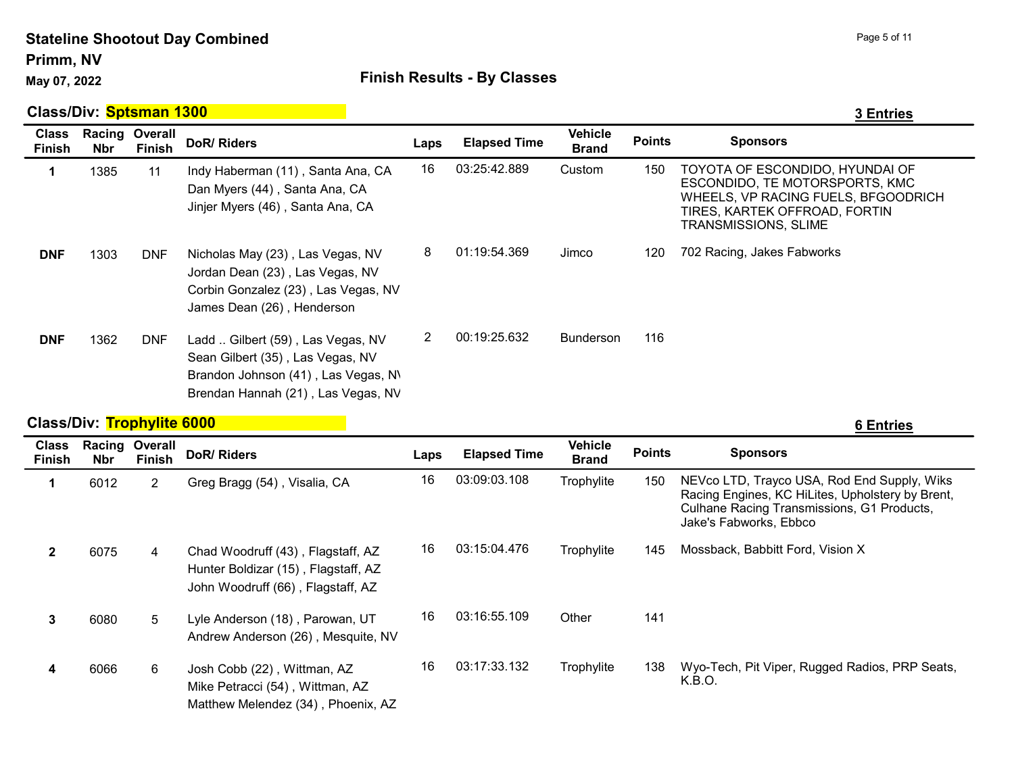### Stateline Shootout Day Combined Primm, NV

## May 07, 2022 **Accord Pay 10 Accord Finish Results - By Classes**

|                               | Class/Div: Sptsman 1300           |                                 |                                                                                                                                                    |                |                     |                                |               | <b>3 Entries</b>                                                                                                                                                  |
|-------------------------------|-----------------------------------|---------------------------------|----------------------------------------------------------------------------------------------------------------------------------------------------|----------------|---------------------|--------------------------------|---------------|-------------------------------------------------------------------------------------------------------------------------------------------------------------------|
| <b>Class</b><br><b>Finish</b> | <b>Nbr</b>                        | Racing Overall<br><b>Finish</b> | DoR/Riders                                                                                                                                         | Laps           | <b>Elapsed Time</b> | <b>Vehicle</b><br><b>Brand</b> | <b>Points</b> | <b>Sponsors</b>                                                                                                                                                   |
| 1                             | 1385                              | 11                              | Indy Haberman (11), Santa Ana, CA<br>Dan Myers (44), Santa Ana, CA<br>Jinjer Myers (46), Santa Ana, CA                                             | 16             | 03:25:42.889        | Custom                         | 150           | TOYOTA OF ESCONDIDO, HYUNDAI OF<br>ESCONDIDO, TE MOTORSPORTS, KMC<br>WHEELS, VP RACING FUELS, BFGOODRICH<br>TIRES, KARTEK OFFROAD, FORTIN<br>TRANSMISSIONS, SLIME |
| <b>DNF</b>                    | 1303                              | <b>DNF</b>                      | Nicholas May (23), Las Vegas, NV<br>Jordan Dean (23), Las Vegas, NV<br>Corbin Gonzalez (23), Las Vegas, NV<br>James Dean (26), Henderson           | 8              | 01:19:54.369        | Jimco                          | 120           | 702 Racing, Jakes Fabworks                                                                                                                                        |
| <b>DNF</b>                    | 1362                              | <b>DNF</b>                      | Ladd  Gilbert (59), Las Vegas, NV<br>Sean Gilbert (35), Las Vegas, NV<br>Brandon Johnson (41), Las Vegas, N\<br>Brendan Hannah (21), Las Vegas, NV | $\overline{2}$ | 00:19:25.632        | Bunderson                      | 116           |                                                                                                                                                                   |
|                               | <b>Class/Div: Trophylite 6000</b> |                                 |                                                                                                                                                    |                |                     |                                |               | <b>6 Entries</b>                                                                                                                                                  |

| <b>Class</b><br><b>Finish</b> | <b>Racing</b><br><b>Nbr</b> | Overall<br><b>Finish</b> | DoR/ Riders                                                                                                   | Laps | <b>Elapsed Time</b> | <b>Vehicle</b><br><b>Brand</b> | <b>Points</b> | <b>Sponsors</b>                                                                                                                                                         |
|-------------------------------|-----------------------------|--------------------------|---------------------------------------------------------------------------------------------------------------|------|---------------------|--------------------------------|---------------|-------------------------------------------------------------------------------------------------------------------------------------------------------------------------|
|                               | 6012                        | $\overline{2}$           | Greg Bragg (54), Visalia, CA                                                                                  | 16   | 03:09:03.108        | Trophylite                     | 150           | NEVco LTD, Trayco USA, Rod End Supply, Wiks<br>Racing Engines, KC HiLites, Upholstery by Brent,<br>Culhane Racing Transmissions, G1 Products,<br>Jake's Fabworks, Ebbco |
|                               | 6075                        | 4                        | Chad Woodruff (43), Flagstaff, AZ<br>Hunter Boldizar (15), Flagstaff, AZ<br>John Woodruff (66), Flagstaff, AZ | 16   | 03:15:04.476        | Trophylite                     | 145           | Mossback, Babbitt Ford, Vision X                                                                                                                                        |
| 3                             | 6080                        | 5                        | Lyle Anderson (18), Parowan, UT<br>Andrew Anderson (26), Mesquite, NV                                         | 16   | 03:16:55.109        | Other                          | 141           |                                                                                                                                                                         |
| 4                             | 6066                        | 6                        | Josh Cobb (22), Wittman, AZ<br>Mike Petracci (54), Wittman, AZ<br>Matthew Melendez (34), Phoenix, AZ          | 16   | 03:17:33.132        | Trophylite                     | 138           | Wyo-Tech, Pit Viper, Rugged Radios, PRP Seats,<br>K.B.O.                                                                                                                |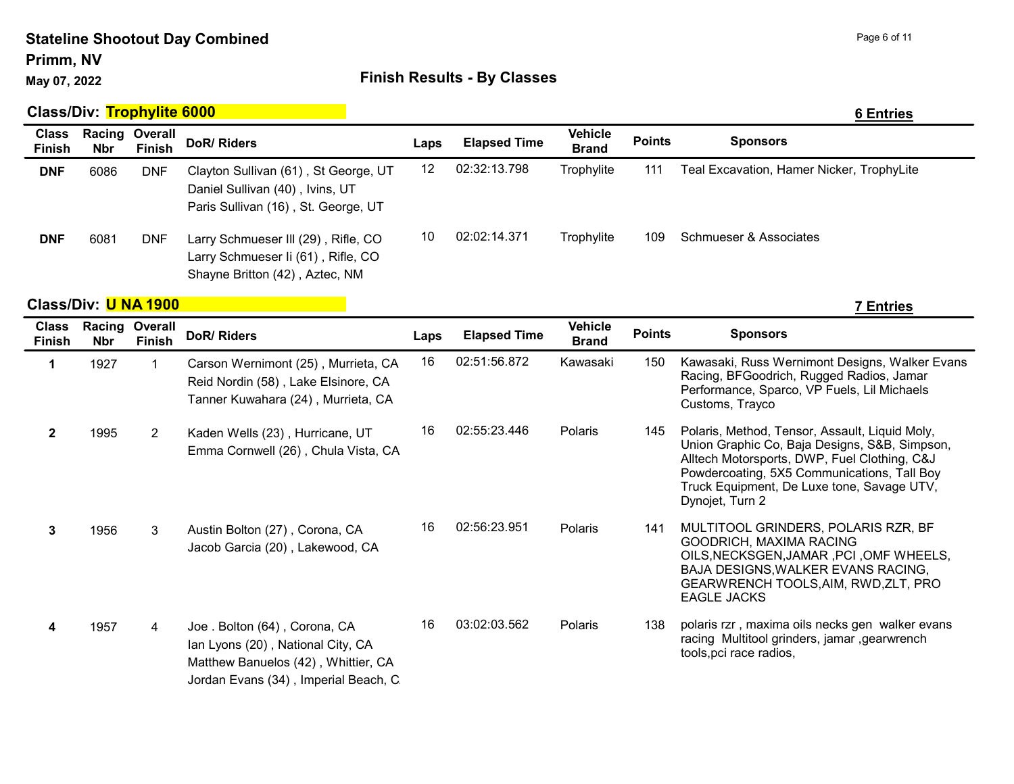### Stateline Shootout Day Combined Primm, NV

## May 07, 2022 **All Accords** Einish Results - By Classes

|                        | <b>Class/Div: Trophylite 6000</b>   |               |                                                                                                                |      |                     |                                |               | <b>6 Entries</b>                          |
|------------------------|-------------------------------------|---------------|----------------------------------------------------------------------------------------------------------------|------|---------------------|--------------------------------|---------------|-------------------------------------------|
| Class<br><b>Finish</b> | <b>Racing Overall</b><br><b>Nbr</b> | <b>Finish</b> | DoR/Riders                                                                                                     | Laps | <b>Elapsed Time</b> | <b>Vehicle</b><br><b>Brand</b> | <b>Points</b> | <b>Sponsors</b>                           |
| <b>DNF</b>             | 6086                                | <b>DNF</b>    | Clayton Sullivan (61), St George, UT<br>Daniel Sullivan (40), Ivins, UT<br>Paris Sullivan (16), St. George, UT | 12   | 02:32:13.798        | Trophylite                     | 111           | Teal Excavation, Hamer Nicker, TrophyLite |
| <b>DNF</b>             | 6081                                | <b>DNF</b>    | Larry Schmueser III (29), Rifle, CO<br>Larry Schmueser Ii (61), Rifle, CO<br>Shayne Britton (42), Aztec, NM    | 10   | 02:02:14.371        | Trophylite                     | 109           | Schmueser & Associates                    |

**Class/Div:** U NA 1900 **7 Entries** 

| <b>Class</b><br><b>Finish</b> | Racing<br><b>Nbr</b> | Overall<br><b>Finish</b> | DoR/Riders                                                                                                                                        | Laps | <b>Elapsed Time</b> | <b>Vehicle</b><br><b>Brand</b> | <b>Points</b> | <b>Sponsors</b>                                                                                                                                                                                                                                                 |
|-------------------------------|----------------------|--------------------------|---------------------------------------------------------------------------------------------------------------------------------------------------|------|---------------------|--------------------------------|---------------|-----------------------------------------------------------------------------------------------------------------------------------------------------------------------------------------------------------------------------------------------------------------|
| 1                             | 1927                 |                          | Carson Wernimont (25), Murrieta, CA<br>Reid Nordin (58), Lake Elsinore, CA<br>Tanner Kuwahara (24), Murrieta, CA                                  | 16   | 02:51:56.872        | Kawasaki                       | 150           | Kawasaki, Russ Wernimont Designs, Walker Evans<br>Racing, BFGoodrich, Rugged Radios, Jamar<br>Performance, Sparco, VP Fuels, Lil Michaels<br>Customs, Trayco                                                                                                    |
| $\mathbf{2}$                  | 1995                 | $\overline{2}$           | Kaden Wells (23), Hurricane, UT<br>Emma Cornwell (26), Chula Vista, CA                                                                            | 16   | 02:55:23.446        | Polaris                        | 145           | Polaris, Method, Tensor, Assault, Liquid Moly,<br>Union Graphic Co, Baja Designs, S&B, Simpson,<br>Alltech Motorsports, DWP, Fuel Clothing, C&J<br>Powdercoating, 5X5 Communications, Tall Boy<br>Truck Equipment, De Luxe tone, Savage UTV,<br>Dynojet, Turn 2 |
| 3                             | 1956                 | 3                        | Austin Bolton (27), Corona, CA<br>Jacob Garcia (20), Lakewood, CA                                                                                 | 16   | 02:56:23.951        | <b>Polaris</b>                 | 141           | MULTITOOL GRINDERS, POLARIS RZR, BF<br>GOODRICH, MAXIMA RACING<br>OILS, NECKSGEN, JAMAR, PCI, OMF WHEELS,<br>BAJA DESIGNS, WALKER EVANS RACING,<br>GEARWRENCH TOOLS, AIM, RWD, ZLT, PRO<br><b>EAGLE JACKS</b>                                                   |
| 4                             | 1957                 | 4                        | Joe. Bolton (64), Corona, CA<br>Ian Lyons (20), National City, CA<br>Matthew Banuelos (42), Whittier, CA<br>Jordan Evans (34), Imperial Beach, C. | 16   | 03:02:03.562        | Polaris                        | 138           | polaris rzr, maxima oils necks gen walker evans<br>racing Multitool grinders, jamar , gearwrench<br>tools, pci race radios,                                                                                                                                     |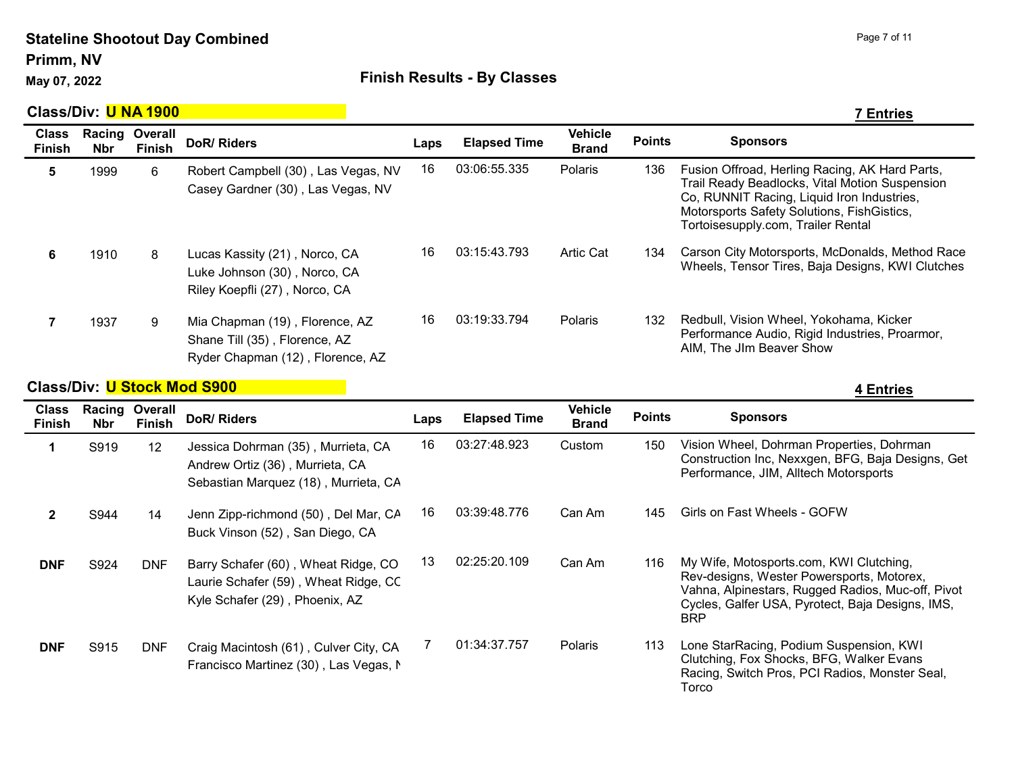Primm, NV

## May 07, 2022 **All Accords** Einish Results - By Classes

|                               | Class/Div: <mark>U NA 1900</mark> |                          |                                                                                                     |      |                     |                                |               | 7 Entries                                                                                                                                                                                                                          |
|-------------------------------|-----------------------------------|--------------------------|-----------------------------------------------------------------------------------------------------|------|---------------------|--------------------------------|---------------|------------------------------------------------------------------------------------------------------------------------------------------------------------------------------------------------------------------------------------|
| <b>Class</b><br><b>Finish</b> | Racing<br><b>Nbr</b>              | Overall<br><b>Finish</b> | DoR/Riders                                                                                          | Laps | <b>Elapsed Time</b> | <b>Vehicle</b><br><b>Brand</b> | <b>Points</b> | <b>Sponsors</b>                                                                                                                                                                                                                    |
| 5.                            | 1999                              | 6                        | Robert Campbell (30), Las Vegas, NV<br>Casey Gardner (30), Las Vegas, NV                            | 16   | 03:06:55.335        | Polaris                        | 136           | Fusion Offroad, Herling Racing, AK Hard Parts,<br>Trail Ready Beadlocks, Vital Motion Suspension<br>Co, RUNNIT Racing, Liquid Iron Industries,<br>Motorsports Safety Solutions, FishGistics,<br>Tortoisesupply.com, Trailer Rental |
| 6                             | 1910                              | 8                        | Lucas Kassity (21), Norco, CA<br>Luke Johnson (30), Norco, CA<br>Riley Koepfli (27), Norco, CA      | 16   | 03:15:43.793        | <b>Artic Cat</b>               | 134           | Carson City Motorsports, McDonalds, Method Race<br>Wheels, Tensor Tires, Baja Designs, KWI Clutches                                                                                                                                |
|                               | 1937                              | 9                        | Mia Chapman (19), Florence, AZ<br>Shane Till (35), Florence, AZ<br>Ryder Chapman (12), Florence, AZ | 16   | 03:19:33.794        | Polaris                        | 132           | Redbull, Vision Wheel, Yokohama, Kicker<br>Performance Audio, Rigid Industries, Proarmor,<br>AIM, The JIm Beaver Show                                                                                                              |

## **Class/Div:** U Stock Mod S900 **4 Access 10 Access 10 Access 10 Access 10 Access 10 Access 10 Access 10 Access 10 Access 10 Access 10 Access 10 Access 10 Access 10 Access 10 Access 10 Access 10 Access 10 Access 10 Access 10**

| <b>Class</b><br><b>Finish</b> | Racing<br><b>Nbr</b> | Overall<br><b>Finish</b> | DoR/Riders                                                                                                    | Laps | <b>Elapsed Time</b> | <b>Vehicle</b><br><b>Brand</b> | <b>Points</b> | <b>Sponsors</b>                                                                                                                                                                                             |
|-------------------------------|----------------------|--------------------------|---------------------------------------------------------------------------------------------------------------|------|---------------------|--------------------------------|---------------|-------------------------------------------------------------------------------------------------------------------------------------------------------------------------------------------------------------|
|                               | S919                 | $12 \overline{ }$        | Jessica Dohrman (35), Murrieta, CA<br>Andrew Ortiz (36), Murrieta, CA<br>Sebastian Marquez (18), Murrieta, CA | 16   | 03:27:48.923        | Custom                         | 150           | Vision Wheel, Dohrman Properties, Dohrman<br>Construction Inc, Nexxgen, BFG, Baja Designs, Get<br>Performance, JIM, Alltech Motorsports                                                                     |
|                               | S944                 | 14                       | Jenn Zipp-richmond (50), Del Mar, CA<br>Buck Vinson (52), San Diego, CA                                       | 16   | 03:39:48.776        | Can Am                         | 145           | Girls on Fast Wheels - GOFW                                                                                                                                                                                 |
| <b>DNF</b>                    | S924                 | <b>DNF</b>               | Barry Schafer (60), Wheat Ridge, CO<br>Laurie Schafer (59), Wheat Ridge, CC<br>Kyle Schafer (29), Phoenix, AZ | 13   | 02:25:20.109        | Can Am                         | 116           | My Wife, Motosports.com, KWI Clutching,<br>Rev-designs, Wester Powersports, Motorex,<br>Vahna, Alpinestars, Rugged Radios, Muc-off, Pivot<br>Cycles, Galfer USA, Pyrotect, Baja Designs, IMS,<br><b>BRP</b> |
| <b>DNF</b>                    | S915                 | <b>DNF</b>               | Craig Macintosh (61), Culver City, CA<br>Francisco Martinez (30), Las Vegas, N                                |      | 01:34:37.757        | Polaris                        | 113           | Lone StarRacing, Podium Suspension, KWI<br>Clutching, Fox Shocks, BFG, Walker Evans<br>Racing, Switch Pros, PCI Radios, Monster Seal,<br>Torco                                                              |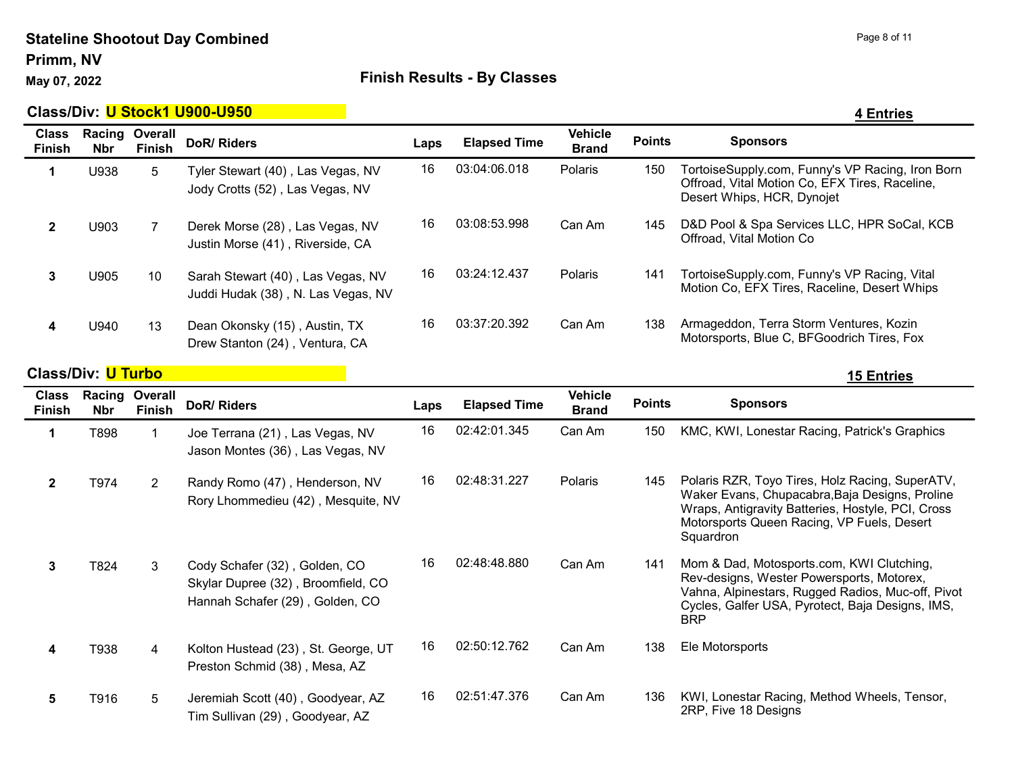### Stateline Shootout Day Combined Primm, NV

## May 07, 2022 **Accord Pay 10 Accord Finish Results - By Classes**

|                      |               |                                                                         |                               |                     |                                |               | <b>4 Entries</b>                                                                                                                 |
|----------------------|---------------|-------------------------------------------------------------------------|-------------------------------|---------------------|--------------------------------|---------------|----------------------------------------------------------------------------------------------------------------------------------|
| Racing<br><b>Nbr</b> | <b>Finish</b> | DoR/ Riders                                                             | Laps                          | <b>Elapsed Time</b> | <b>Vehicle</b><br><b>Brand</b> | <b>Points</b> | <b>Sponsors</b>                                                                                                                  |
| U938                 | 5             | Tyler Stewart (40), Las Vegas, NV<br>Jody Crotts (52), Las Vegas, NV    | 16                            | 03:04:06.018        | Polaris                        | 150           | TortoiseSupply.com, Funny's VP Racing, Iron Born<br>Offroad, Vital Motion Co, EFX Tires, Raceline,<br>Desert Whips, HCR, Dynojet |
| U903                 |               | Derek Morse (28), Las Vegas, NV<br>Justin Morse (41), Riverside, CA     | 16                            | 03:08:53.998        | Can Am                         | 145           | D&D Pool & Spa Services LLC, HPR SoCal, KCB<br>Offroad, Vital Motion Co                                                          |
| U905                 | 10            | Sarah Stewart (40), Las Vegas, NV<br>Juddi Hudak (38), N. Las Vegas, NV | 16                            | 03:24:12.437        | Polaris                        | 141           | TortoiseSupply.com, Funny's VP Racing, Vital<br>Motion Co, EFX Tires, Raceline, Desert Whips                                     |
| U940                 | 13            | Dean Okonsky (15), Austin, TX<br>Drew Stanton (24), Ventura, CA         | 16                            | 03:37:20.392        | Can Am                         | 138           | Armageddon, Terra Storm Ventures, Kozin<br>Motorsports, Blue C, BFGoodrich Tires, Fox                                            |
|                      |               | Overall                                                                 | Class/Div: U Stock1 U900-U950 |                     |                                |               |                                                                                                                                  |

**Class/Div:** U Turbo 15 Entries

| <b>Class</b><br><b>Finish</b> | Racing<br><b>Nbr</b> | Overall<br><b>Finish</b> | DoR/ Riders                                                                                            | Laps | <b>Elapsed Time</b> | <b>Vehicle</b><br><b>Brand</b> | <b>Points</b> | <b>Sponsors</b>                                                                                                                                                                                                   |
|-------------------------------|----------------------|--------------------------|--------------------------------------------------------------------------------------------------------|------|---------------------|--------------------------------|---------------|-------------------------------------------------------------------------------------------------------------------------------------------------------------------------------------------------------------------|
| 1                             | T898                 | 1                        | Joe Terrana (21), Las Vegas, NV<br>Jason Montes (36), Las Vegas, NV                                    | 16   | 02:42:01.345        | Can Am                         | 150           | KMC, KWI, Lonestar Racing, Patrick's Graphics                                                                                                                                                                     |
| $\mathbf{2}$                  | T974                 | $\overline{2}$           | Randy Romo (47), Henderson, NV<br>Rory Lhommedieu (42), Mesquite, NV                                   | 16   | 02:48:31.227        | Polaris                        | 145           | Polaris RZR, Toyo Tires, Holz Racing, SuperATV,<br>Waker Evans, Chupacabra, Baja Designs, Proline<br>Wraps, Antigravity Batteries, Hostyle, PCI, Cross<br>Motorsports Queen Racing, VP Fuels, Desert<br>Squardron |
| 3                             | T824                 | 3                        | Cody Schafer (32), Golden, CO<br>Skylar Dupree (32), Broomfield, CO<br>Hannah Schafer (29), Golden, CO | 16   | 02:48:48.880        | Can Am                         | 141           | Mom & Dad, Motosports.com, KWI Clutching,<br>Rev-designs, Wester Powersports, Motorex,<br>Vahna, Alpinestars, Rugged Radios, Muc-off, Pivot<br>Cycles, Galfer USA, Pyrotect, Baja Designs, IMS,<br><b>BRP</b>     |
| 4                             | T938                 | 4                        | Kolton Hustead (23), St. George, UT<br>Preston Schmid (38), Mesa, AZ                                   | 16   | 02:50:12.762        | Can Am                         | 138           | Ele Motorsports                                                                                                                                                                                                   |
| 5                             | T916                 | 5                        | Jeremiah Scott (40), Goodyear, AZ<br>Tim Sullivan (29), Goodyear, AZ                                   | 16   | 02:51:47.376        | Can Am                         | 136           | KWI, Lonestar Racing, Method Wheels, Tensor,<br>2RP, Five 18 Designs                                                                                                                                              |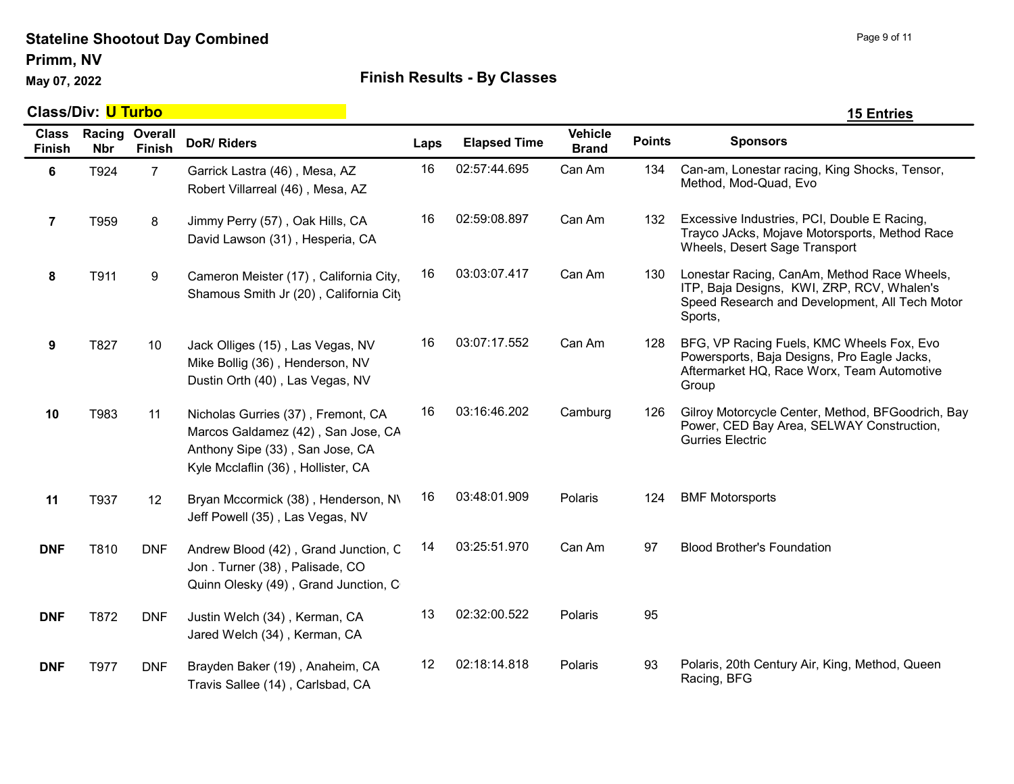Primm, NV

## May 07, 2022 **All Accords** Einish Results - By Classes

|                               | <b>Class/Div: U Turbo</b> |                          |                                                                                                                                                   |      |                     |                                |               | <b>15 Entries</b>                                                                                                                                      |  |  |
|-------------------------------|---------------------------|--------------------------|---------------------------------------------------------------------------------------------------------------------------------------------------|------|---------------------|--------------------------------|---------------|--------------------------------------------------------------------------------------------------------------------------------------------------------|--|--|
| <b>Class</b><br><b>Finish</b> | Racing<br><b>Nbr</b>      | Overall<br><b>Finish</b> | <b>DoR/ Riders</b>                                                                                                                                | Laps | <b>Elapsed Time</b> | <b>Vehicle</b><br><b>Brand</b> | <b>Points</b> | <b>Sponsors</b>                                                                                                                                        |  |  |
| $\bf 6$                       | T924                      | $\overline{7}$           | Garrick Lastra (46), Mesa, AZ<br>Robert Villarreal (46), Mesa, AZ                                                                                 | 16   | 02:57:44.695        | Can Am                         | 134           | Can-am, Lonestar racing, King Shocks, Tensor,<br>Method, Mod-Quad, Evo                                                                                 |  |  |
| $\overline{7}$                | T959                      | 8                        | Jimmy Perry (57), Oak Hills, CA<br>David Lawson (31), Hesperia, CA                                                                                | 16   | 02:59:08.897        | Can Am                         | 132           | Excessive Industries, PCI, Double E Racing,<br>Trayco JAcks, Mojave Motorsports, Method Race<br>Wheels, Desert Sage Transport                          |  |  |
| 8                             | T911                      | 9                        | Cameron Meister (17), California City,<br>Shamous Smith Jr (20), California City                                                                  | 16   | 03:03:07.417        | Can Am                         | 130           | Lonestar Racing, CanAm, Method Race Wheels,<br>ITP, Baja Designs, KWI, ZRP, RCV, Whalen's<br>Speed Research and Development, All Tech Motor<br>Sports, |  |  |
| $\boldsymbol{9}$              | T827                      | 10                       | Jack Olliges (15), Las Vegas, NV<br>Mike Bollig (36), Henderson, NV<br>Dustin Orth (40), Las Vegas, NV                                            | 16   | 03:07:17.552        | Can Am                         | 128           | BFG, VP Racing Fuels, KMC Wheels Fox, Evo<br>Powersports, Baja Designs, Pro Eagle Jacks,<br>Aftermarket HQ, Race Worx, Team Automotive<br>Group        |  |  |
| 10                            | T983                      | 11                       | Nicholas Gurries (37), Fremont, CA<br>Marcos Galdamez (42), San Jose, CA<br>Anthony Sipe (33), San Jose, CA<br>Kyle Mcclaflin (36), Hollister, CA | 16   | 03:16:46.202        | Camburg                        | 126           | Gilroy Motorcycle Center, Method, BFGoodrich, Bay<br>Power, CED Bay Area, SELWAY Construction,<br><b>Gurries Electric</b>                              |  |  |
| 11                            | T937                      | 12                       | Bryan Mccormick (38), Henderson, N\<br>Jeff Powell (35), Las Vegas, NV                                                                            | 16   | 03:48:01.909        | Polaris                        | 124           | <b>BMF Motorsports</b>                                                                                                                                 |  |  |
| <b>DNF</b>                    | T810                      | <b>DNF</b>               | Andrew Blood (42), Grand Junction, C<br>Jon. Turner (38), Palisade, CO<br>Quinn Olesky (49), Grand Junction, C                                    | 14   | 03:25:51.970        | Can Am                         | 97            | <b>Blood Brother's Foundation</b>                                                                                                                      |  |  |
| <b>DNF</b>                    | T872                      | <b>DNF</b>               | Justin Welch (34), Kerman, CA<br>Jared Welch (34), Kerman, CA                                                                                     | 13   | 02:32:00.522        | Polaris                        | 95            |                                                                                                                                                        |  |  |
| <b>DNF</b>                    | T977                      | <b>DNF</b>               | Brayden Baker (19), Anaheim, CA<br>Travis Sallee (14), Carlsbad, CA                                                                               | 12   | 02:18:14.818        | Polaris                        | 93            | Polaris, 20th Century Air, King, Method, Queen<br>Racing, BFG                                                                                          |  |  |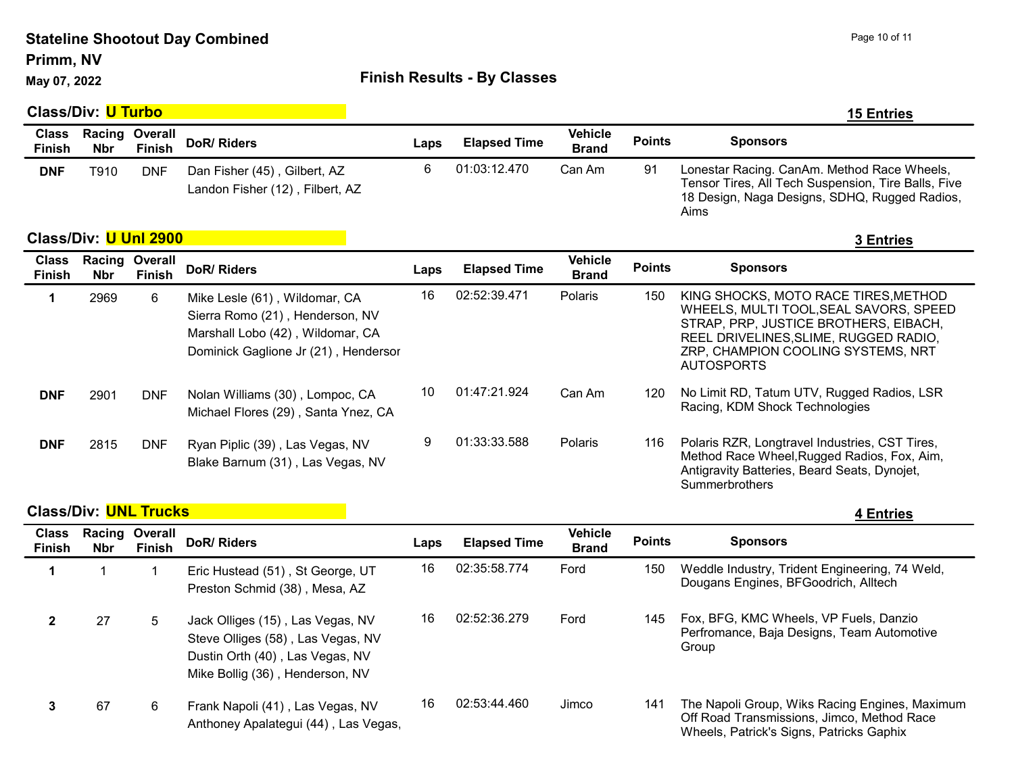#### Primm, NV

## May 07, 2022 **Accord Participate 3 Accord Point Control Control Control Principal Principal Principal Principal Principal Principal Principal Principal Principal Principal Principal Principal Principal Principal Principal**

|                               | <b>Class/Div: U Turbo</b> |                          |                                                                                                                                              |      |                     |                                |               | <b>15 Entries</b>                                                                                                                                                                                                           |
|-------------------------------|---------------------------|--------------------------|----------------------------------------------------------------------------------------------------------------------------------------------|------|---------------------|--------------------------------|---------------|-----------------------------------------------------------------------------------------------------------------------------------------------------------------------------------------------------------------------------|
| <b>Class</b><br><b>Finish</b> | Racing<br>Nbr             | Overall<br><b>Finish</b> | DoR/Riders                                                                                                                                   | Laps | <b>Elapsed Time</b> | <b>Vehicle</b><br><b>Brand</b> | <b>Points</b> | <b>Sponsors</b>                                                                                                                                                                                                             |
| <b>DNF</b>                    | T910                      | <b>DNF</b>               | Dan Fisher (45), Gilbert, AZ<br>Landon Fisher (12), Filbert, AZ                                                                              | 6    | 01:03:12.470        | Can Am                         | 91            | Lonestar Racing. CanAm. Method Race Wheels,<br>Tensor Tires, All Tech Suspension, Tire Balls, Five<br>18 Design, Naga Designs, SDHQ, Rugged Radios,<br>Aims                                                                 |
|                               | Class/Div: U Uni 2900     |                          |                                                                                                                                              |      |                     |                                |               | 3 Entries                                                                                                                                                                                                                   |
| <b>Class</b><br><b>Finish</b> | Racing<br><b>Nbr</b>      | Overall<br><b>Finish</b> | DoR/Riders                                                                                                                                   | Laps | <b>Elapsed Time</b> | <b>Vehicle</b><br><b>Brand</b> | <b>Points</b> | <b>Sponsors</b>                                                                                                                                                                                                             |
| 1                             | 2969                      | 6                        | Mike Lesle (61), Wildomar, CA<br>Sierra Romo (21), Henderson, NV<br>Marshall Lobo (42), Wildomar, CA<br>Dominick Gaglione Jr (21), Hendersor | 16   | 02:52:39.471        | Polaris                        | 150           | KING SHOCKS, MOTO RACE TIRES, METHOD<br>WHEELS, MULTI TOOL, SEAL SAVORS, SPEED<br>STRAP, PRP, JUSTICE BROTHERS, EIBACH,<br>REEL DRIVELINES, SLIME, RUGGED RADIO,<br>ZRP, CHAMPION COOLING SYSTEMS, NRT<br><b>AUTOSPORTS</b> |
| <b>DNF</b>                    | 2901                      | <b>DNF</b>               | Nolan Williams (30), Lompoc, CA<br>Michael Flores (29), Santa Ynez, CA                                                                       | 10   | 01:47:21.924        | Can Am                         | 120           | No Limit RD, Tatum UTV, Rugged Radios, LSR<br>Racing, KDM Shock Technologies                                                                                                                                                |
| <b>DNF</b>                    | 2815                      | <b>DNF</b>               | Ryan Piplic (39), Las Vegas, NV<br>Blake Barnum (31), Las Vegas, NV                                                                          | 9    | 01:33:33.588        | Polaris                        | 116           | Polaris RZR, Longtravel Industries, CST Tires,<br>Method Race Wheel, Rugged Radios, Fox, Aim,<br>Antigravity Batteries, Beard Seats, Dynojet,<br>Summerbrothers                                                             |

## **Class/Div:** UNL Trucks 4 Entries

| <b>Class</b><br><b>Finish</b> | <b>Nbr</b> | <b>Racing Overall</b><br><b>Finish</b> | DoR/Riders                                                                                                                                  | Laps | <b>Elapsed Time</b> | <b>Vehicle</b><br><b>Brand</b> | <b>Points</b> | <b>Sponsors</b>                                                                                                                          |
|-------------------------------|------------|----------------------------------------|---------------------------------------------------------------------------------------------------------------------------------------------|------|---------------------|--------------------------------|---------------|------------------------------------------------------------------------------------------------------------------------------------------|
|                               |            |                                        | Eric Hustead (51), St George, UT<br>Preston Schmid (38), Mesa, AZ                                                                           | 16   | 02:35:58.774        | Ford                           | 150           | Weddle Industry, Trident Engineering, 74 Weld,<br>Dougans Engines, BFGoodrich, Alltech                                                   |
|                               | 27         | 5                                      | Jack Olliges (15), Las Vegas, NV<br>Steve Olliges (58), Las Vegas, NV<br>Dustin Orth (40), Las Vegas, NV<br>Mike Bollig (36), Henderson, NV | 16   | 02:52:36.279        | Ford                           | 145           | Fox, BFG, KMC Wheels, VP Fuels, Danzio<br>Perfromance, Baja Designs, Team Automotive<br>Group                                            |
|                               | 67         | 6                                      | Frank Napoli (41), Las Vegas, NV<br>Anthoney Apalategui (44), Las Vegas,                                                                    | 16   | 02:53:44.460        | Jimco                          | 141           | The Napoli Group, Wiks Racing Engines, Maximum<br>Off Road Transmissions, Jimco, Method Race<br>Wheels, Patrick's Signs, Patricks Gaphix |